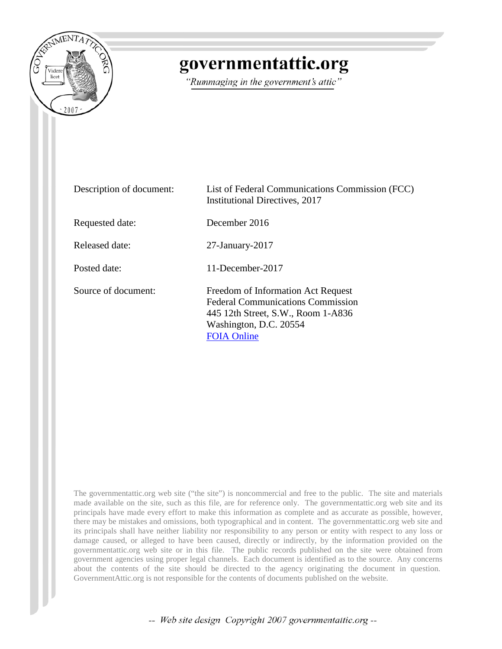

## governmentattic.org

"Rummaging in the government's attic"

| Description of document: | List of Federal Communications Commission (FCC)<br>Institutional Directives, 2017                                                                                    |
|--------------------------|----------------------------------------------------------------------------------------------------------------------------------------------------------------------|
| Requested date:          | December 2016                                                                                                                                                        |
| Released date:           | $27$ -January- $2017$                                                                                                                                                |
| Posted date:             | 11-December-2017                                                                                                                                                     |
| Source of document:      | Freedom of Information Act Request<br><b>Federal Communications Commission</b><br>445 12th Street, S.W., Room 1-A836<br>Washington, D.C. 20554<br><b>FOIA Online</b> |

The governmentattic.org web site ("the site") is noncommercial and free to the public. The site and materials made available on the site, such as this file, are for reference only. The governmentattic.org web site and its principals have made every effort to make this information as complete and as accurate as possible, however, there may be mistakes and omissions, both typographical and in content. The governmentattic.org web site and its principals shall have neither liability nor responsibility to any person or entity with respect to any loss or damage caused, or alleged to have been caused, directly or indirectly, by the information provided on the governmentattic.org web site or in this file. The public records published on the site were obtained from government agencies using proper legal channels. Each document is identified as to the source. Any concerns about the contents of the site should be directed to the agency originating the document in question. GovernmentAttic.org is not responsible for the contents of documents published on the website.

-- Web site design Copyright 2007 governmentattic.org --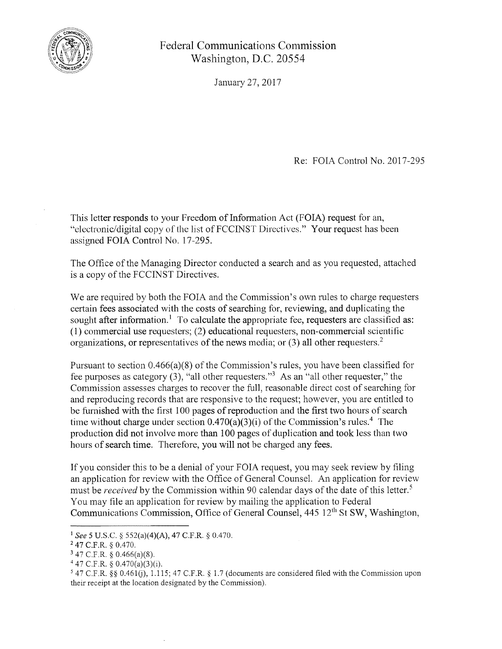

Federal Communications Commission Washington, D.C. 20554

January 27, 2017

Re: FOIA Control No. 2017-295

This letter responds to your Freedom of Information Act (FOIA) request for an, "electronic/digital copy of the list of FCCINST Directives." Your request has been assigned FOIA Control No. 17-295.

The Office of the Managing Director conducted a search and as you requested, attached is a copy of the FCCINST Directives.

We are required by both the FOIA and the Commission's own rules to charge requesters certain fees associated with the costs of searching for, reviewing, and duplicating the sought after information.<sup>1</sup> To calculate the appropriate fee, requesters are classified as: (1) commercial use requesters; (2) educational requesters, non-commercial scientific organizations, or representatives of the news media; or  $(3)$  all other requesters.<sup>2</sup>

Pursuant to section 0.466(a)(8) of the Commission's rules, you have been classified for fee purposes as category (3), "all other requesters."3 As an "all other requester," the Commission assesses charges to recover the full, reasonable direct cost of searching for and reproducing records that are responsive to the request; however, you are entitled to be furnished with the first 100 pages of reproduction and the first two hours of search time without charge under section  $0.470(a)(3)(i)$  of the Commission's rules.<sup>4</sup> The production did not involve more than 100 pages of duplication and took less than two hours of search time. Therefore, you will not be charged any fees.

If you consider this to be a denial of your FOIA request, you may seek review by filing an application for review with the Office of General Counsel. An application for review must be *received* by the Commission within 90 calendar days of the date of this letter. *<sup>5</sup>* You may file an application for review by mailing the application to Federal Communications Commission, Office of General Counsel, 445 12<sup>th</sup> St SW, Washington,

<sup>1</sup>*See* 5 U.S.C. § 552(a)(4)(A), 47 C.F.R. § 0.470.

<sup>2</sup>47 C.F.R. § 0.470.

<sup>3</sup>47 C.F.R. § 0.466(a)(8).

 $447$  C.F.R. § 0.470(a)(3)(i).

<sup>&</sup>lt;sup>5</sup> 47 C.F.R. §§ 0.461(j), 1.115; 47 C.F.R. § 1.7 (documents are considered filed with the Commission upon their receipt at the location designated by the Commission).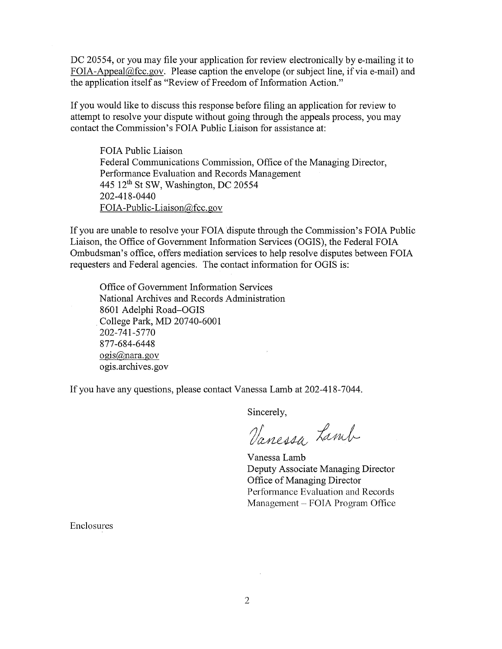DC 20554, or you may file your application for review electronically by e-mailing it to FOIA-Appeal@fcc.gov. Please caption the envelope (or subject line, if via e-mail) and the application itself as "Review of Freedom of Information Action."

If you would like to discuss this response before filing an application for review to attempt to resolve your dispute without going through the appeals process, you may contact the Commission's FOIA Public Liaison for assistance at:

FOIA Public Liaison Federal Communications Commission, Office of the Managing Director, Performance Evaluation and Records Management 445 12th St SW, Washington, DC 20554 202-418-0440 FOIA-Public-Liaison@fcc.gov

If you are unable to resolve your FOIA dispute through the Commission's FOIA Public Liaison, the Office of Government Information Services (OGIS), the Federal FOIA Ombudsman's office, offers mediation services to help resolve disputes between FOIA requesters and Federal agencies. The contact information for OGIS is:

Office of Government Information Services National Archives and Records Administration 8601 Adelphi Road-OGIS College Park, MD 20740-6001 202-741-5770 877-684-6448 ogis@nara.gov ogis.archives.gov

If you have any questions, please contact Vanessa Lamb at 202-418-7044.

Sincerely,

Vanessa Lamb

Vanessa Lamb Deputy Associate Managing Director Office of Managing Director Performance Evaluation and Records Management - FOIA Program Office

Enclosures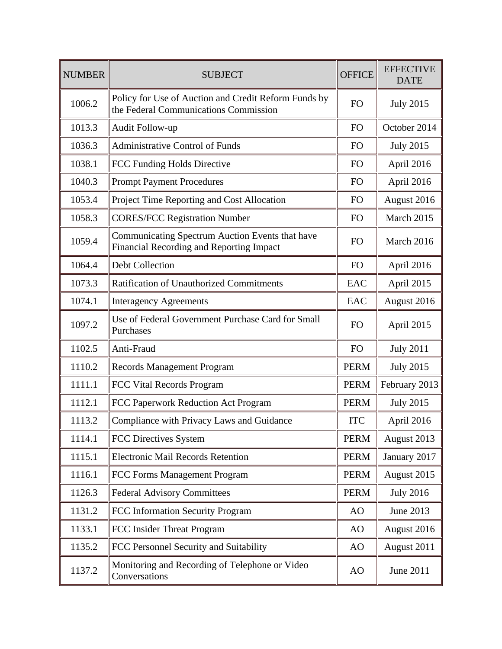| <b>NUMBER</b> | <b>SUBJECT</b>                                                                                | <b>OFFICE</b>  | <b>EFFECTIVE</b><br><b>DATE</b> |
|---------------|-----------------------------------------------------------------------------------------------|----------------|---------------------------------|
| 1006.2        | Policy for Use of Auction and Credit Reform Funds by<br>the Federal Communications Commission |                | <b>July 2015</b>                |
| 1013.3        | Audit Follow-up                                                                               | <b>FO</b>      | October 2014                    |
| 1036.3        | <b>Administrative Control of Funds</b>                                                        | F <sub>O</sub> | <b>July 2015</b>                |
| 1038.1        | FCC Funding Holds Directive                                                                   | <b>FO</b>      | April 2016                      |
| 1040.3        | <b>Prompt Payment Procedures</b>                                                              |                | April 2016                      |
| 1053.4        | Project Time Reporting and Cost Allocation                                                    |                | August 2016                     |
| 1058.3        | <b>CORES/FCC Registration Number</b>                                                          | <b>FO</b>      | March 2015                      |
| 1059.4        | Communicating Spectrum Auction Events that have<br>Financial Recording and Reporting Impact   | <b>FO</b>      | March 2016                      |
| 1064.4        | Debt Collection                                                                               | <b>FO</b>      | April 2016                      |
| 1073.3        | <b>Ratification of Unauthorized Commitments</b>                                               | EAC            | April 2015                      |
| 1074.1        | <b>Interagency Agreements</b>                                                                 | EAC            | August 2016                     |
| 1097.2        | Use of Federal Government Purchase Card for Small<br>Purchases                                | <b>FO</b>      | April 2015                      |
| 1102.5        | Anti-Fraud                                                                                    | <b>FO</b>      | <b>July 2011</b>                |
| 1110.2        | <b>Records Management Program</b>                                                             | <b>PERM</b>    | <b>July 2015</b>                |
| 1111.1        | FCC Vital Records Program                                                                     | <b>PERM</b>    | February 2013                   |
| 1112.1        | FCC Paperwork Reduction Act Program                                                           | <b>PERM</b>    | <b>July 2015</b>                |
| 1113.2        | Compliance with Privacy Laws and Guidance                                                     | <b>ITC</b>     | April 2016                      |
| 1114.1        | <b>FCC Directives System</b>                                                                  | <b>PERM</b>    | August 2013                     |
| 1115.1        | <b>Electronic Mail Records Retention</b>                                                      | <b>PERM</b>    | January 2017                    |
| 1116.1        | FCC Forms Management Program                                                                  | <b>PERM</b>    | August 2015                     |
| 1126.3        | <b>Federal Advisory Committees</b>                                                            | <b>PERM</b>    | <b>July 2016</b>                |
| 1131.2        | FCC Information Security Program                                                              | AO             | June 2013                       |
| 1133.1        | FCC Insider Threat Program                                                                    | AO             | August 2016                     |
| 1135.2        | FCC Personnel Security and Suitability                                                        | AO             | August 2011                     |
| 1137.2        | Monitoring and Recording of Telephone or Video<br>Conversations                               | AO             | June 2011                       |